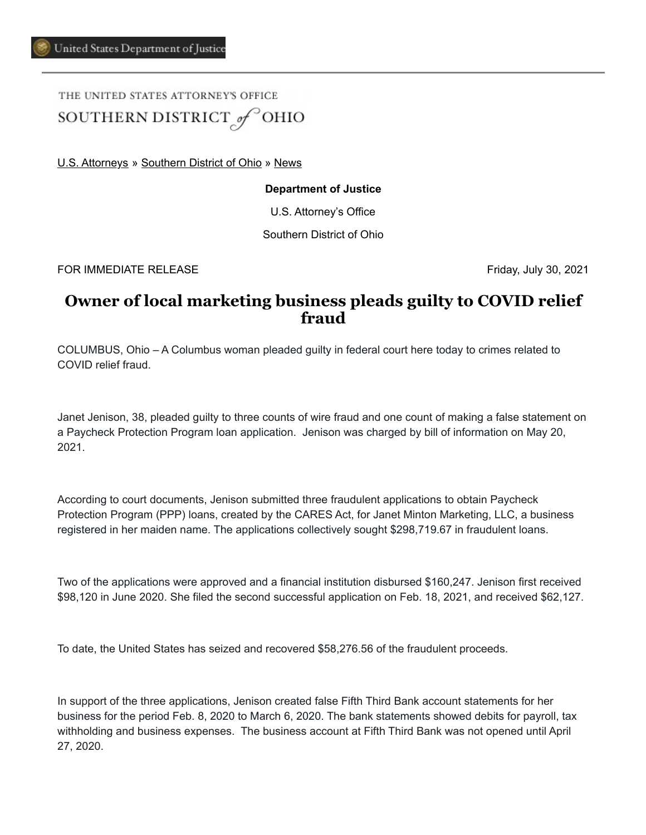## THE UNITED STATES ATTORNEY'S OFFICE SOUTHERN DISTRICT of OHIO

[U.S. Attorneys](https://www.justice.gov/usao) » [Southern District of Ohio](https://www.justice.gov/usao-sdoh) » [News](https://www.justice.gov/usao-sdoh/pr)

## **Department of Justice**

U.S. Attorney's Office

Southern District of Ohio

FOR IMMEDIATE RELEASE Friday, July 30, 2021

## **Owner of local marketing business pleads guilty to COVID relief fraud**

COLUMBUS, Ohio – A Columbus woman pleaded guilty in federal court here today to crimes related to COVID relief fraud.

Janet Jenison, 38, pleaded guilty to three counts of wire fraud and one count of making a false statement on a Paycheck Protection Program loan application. Jenison was charged by bill of information on May 20, 2021.

According to court documents, Jenison submitted three fraudulent applications to obtain Paycheck Protection Program (PPP) loans, created by the CARES Act, for Janet Minton Marketing, LLC, a business registered in her maiden name. The applications collectively sought \$298,719.67 in fraudulent loans.

Two of the applications were approved and a financial institution disbursed \$160,247. Jenison first received \$98,120 in June 2020. She filed the second successful application on Feb. 18, 2021, and received \$62,127.

To date, the United States has seized and recovered \$58,276.56 of the fraudulent proceeds.

In support of the three applications, Jenison created false Fifth Third Bank account statements for her business for the period Feb. 8, 2020 to March 6, 2020. The bank statements showed debits for payroll, tax withholding and business expenses. The business account at Fifth Third Bank was not opened until April 27, 2020.